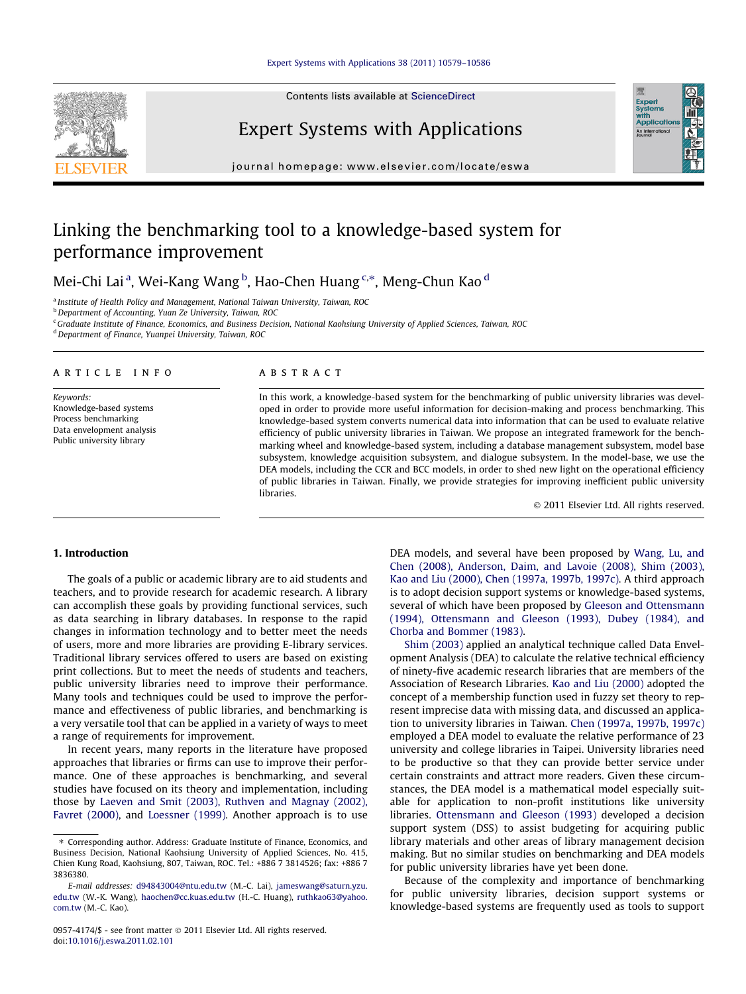### [Expert Systems with Applications 38 \(2011\) 10579–10586](http://dx.doi.org/10.1016/j.eswa.2011.02.101)





journal homepage: [www.elsevier.com/locate/eswa](http://www.elsevier.com/locate/eswa)

# Linking the benchmarking tool to a knowledge-based system for performance improvement

Mei-Chi Lai<sup>a</sup>, Wei-Kang Wang<sup>b</sup>, Hao-Chen Huang<sup>c,</sup>\*, Meng-Chun Kao <sup>d</sup>

<sup>a</sup> Institute of Health Policy and Management, National Taiwan University, Taiwan, ROC

<sup>b</sup> Department of Accounting, Yuan Ze University, Taiwan, ROC

<sup>c</sup> Graduate Institute of Finance, Economics, and Business Decision, National Kaohsiung University of Applied Sciences, Taiwan, ROC

<sup>d</sup> Department of Finance, Yuanpei University, Taiwan, ROC

#### article info

Keywords: Knowledge-based systems Process benchmarking Data envelopment analysis Public university library

## **ABSTRACT**

In this work, a knowledge-based system for the benchmarking of public university libraries was developed in order to provide more useful information for decision-making and process benchmarking. This knowledge-based system converts numerical data into information that can be used to evaluate relative efficiency of public university libraries in Taiwan. We propose an integrated framework for the benchmarking wheel and knowledge-based system, including a database management subsystem, model base subsystem, knowledge acquisition subsystem, and dialogue subsystem. In the model-base, we use the DEA models, including the CCR and BCC models, in order to shed new light on the operational efficiency of public libraries in Taiwan. Finally, we provide strategies for improving inefficient public university libraries.

- 2011 Elsevier Ltd. All rights reserved.

Expert<br>Systems<br>with<br>Applicati

#### 1. Introduction

The goals of a public or academic library are to aid students and teachers, and to provide research for academic research. A library can accomplish these goals by providing functional services, such as data searching in library databases. In response to the rapid changes in information technology and to better meet the needs of users, more and more libraries are providing E-library services. Traditional library services offered to users are based on existing print collections. But to meet the needs of students and teachers, public university libraries need to improve their performance. Many tools and techniques could be used to improve the performance and effectiveness of public libraries, and benchmarking is a very versatile tool that can be applied in a variety of ways to meet a range of requirements for improvement.

In recent years, many reports in the literature have proposed approaches that libraries or firms can use to improve their performance. One of these approaches is benchmarking, and several studies have focused on its theory and implementation, including those by [Laeven and Smit \(2003\), Ruthven and Magnay \(2002\),](#page--1-0) [Favret \(2000\),](#page--1-0) and [Loessner \(1999\)](#page--1-0). Another approach is to use DEA models, and several have been proposed by [Wang, Lu, and](#page--1-0) [Chen \(2008\), Anderson, Daim, and Lavoie \(2008\), Shim \(2003\),](#page--1-0) [Kao and Liu \(2000\), Chen \(1997a, 1997b, 1997c\)](#page--1-0). A third approach is to adopt decision support systems or knowledge-based systems, several of which have been proposed by [Gleeson and Ottensmann](#page--1-0) [\(1994\), Ottensmann and Gleeson \(1993\), Dubey \(1984\), and](#page--1-0) [Chorba and Bommer \(1983\).](#page--1-0)

[Shim \(2003\)](#page--1-0) applied an analytical technique called Data Envelopment Analysis (DEA) to calculate the relative technical efficiency of ninety-five academic research libraries that are members of the Association of Research Libraries. [Kao and Liu \(2000\)](#page--1-0) adopted the concept of a membership function used in fuzzy set theory to represent imprecise data with missing data, and discussed an application to university libraries in Taiwan. [Chen \(1997a, 1997b, 1997c\)](#page--1-0) employed a DEA model to evaluate the relative performance of 23 university and college libraries in Taipei. University libraries need to be productive so that they can provide better service under certain constraints and attract more readers. Given these circumstances, the DEA model is a mathematical model especially suitable for application to non-profit institutions like university libraries. [Ottensmann and Gleeson \(1993\)](#page--1-0) developed a decision support system (DSS) to assist budgeting for acquiring public library materials and other areas of library management decision making. But no similar studies on benchmarking and DEA models for public university libraries have yet been done.

Because of the complexity and importance of benchmarking for public university libraries, decision support systems or knowledge-based systems are frequently used as tools to support



<sup>⇑</sup> Corresponding author. Address: Graduate Institute of Finance, Economics, and Business Decision, National Kaohsiung University of Applied Sciences, No. 415, Chien Kung Road, Kaohsiung, 807, Taiwan, ROC. Tel.: +886 7 3814526; fax: +886 7 3836380.

E-mail addresses: [d94843004@ntu.edu.tw](mailto:d94843004@ntu.edu.tw) (M.-C. Lai), [jameswang@saturn.yzu.](mailto:jameswang@saturn.yzu. edu.tw) [edu.tw](mailto:jameswang@saturn.yzu. edu.tw) (W.-K. Wang), [haochen@cc.kuas.edu.tw](mailto:haochen@cc.kuas.edu.tw) (H.-C. Huang), [ruthkao63@yahoo.](mailto:ruthkao63@yahoo. com.tw) [com.tw](mailto:ruthkao63@yahoo. com.tw) (M.-C. Kao).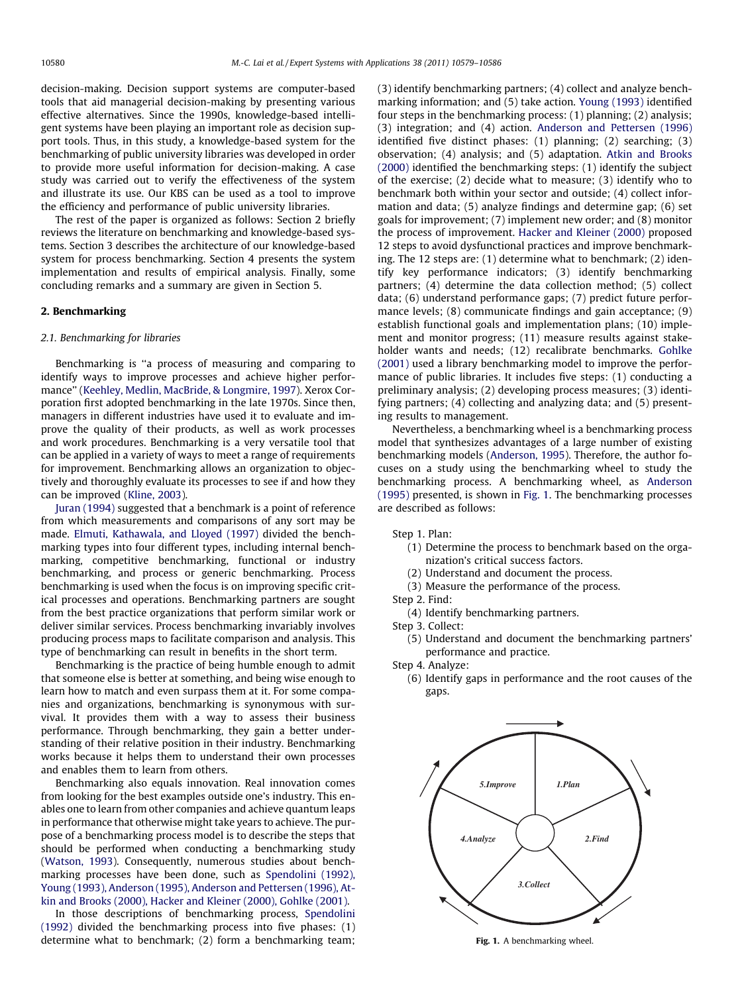decision-making. Decision support systems are computer-based tools that aid managerial decision-making by presenting various effective alternatives. Since the 1990s, knowledge-based intelligent systems have been playing an important role as decision support tools. Thus, in this study, a knowledge-based system for the benchmarking of public university libraries was developed in order to provide more useful information for decision-making. A case study was carried out to verify the effectiveness of the system and illustrate its use. Our KBS can be used as a tool to improve the efficiency and performance of public university libraries.

The rest of the paper is organized as follows: Section 2 briefly reviews the literature on benchmarking and knowledge-based systems. Section 3 describes the architecture of our knowledge-based system for process benchmarking. Section 4 presents the system implementation and results of empirical analysis. Finally, some concluding remarks and a summary are given in Section 5.

#### 2. Benchmarking

#### 2.1. Benchmarking for libraries

Benchmarking is ''a process of measuring and comparing to identify ways to improve processes and achieve higher performance'' [\(Keehley, Medlin, MacBride, & Longmire, 1997\)](#page--1-0). Xerox Corporation first adopted benchmarking in the late 1970s. Since then, managers in different industries have used it to evaluate and improve the quality of their products, as well as work processes and work procedures. Benchmarking is a very versatile tool that can be applied in a variety of ways to meet a range of requirements for improvement. Benchmarking allows an organization to objectively and thoroughly evaluate its processes to see if and how they can be improved [\(Kline, 2003](#page--1-0)).

[Juran \(1994\)](#page--1-0) suggested that a benchmark is a point of reference from which measurements and comparisons of any sort may be made. [Elmuti, Kathawala, and Lloyed \(1997\)](#page--1-0) divided the benchmarking types into four different types, including internal benchmarking, competitive benchmarking, functional or industry benchmarking, and process or generic benchmarking. Process benchmarking is used when the focus is on improving specific critical processes and operations. Benchmarking partners are sought from the best practice organizations that perform similar work or deliver similar services. Process benchmarking invariably involves producing process maps to facilitate comparison and analysis. This type of benchmarking can result in benefits in the short term.

Benchmarking is the practice of being humble enough to admit that someone else is better at something, and being wise enough to learn how to match and even surpass them at it. For some companies and organizations, benchmarking is synonymous with survival. It provides them with a way to assess their business performance. Through benchmarking, they gain a better understanding of their relative position in their industry. Benchmarking works because it helps them to understand their own processes and enables them to learn from others.

Benchmarking also equals innovation. Real innovation comes from looking for the best examples outside one's industry. This enables one to learn from other companies and achieve quantum leaps in performance that otherwise might take years to achieve. The purpose of a benchmarking process model is to describe the steps that should be performed when conducting a benchmarking study ([Watson, 1993](#page--1-0)). Consequently, numerous studies about benchmarking processes have been done, such as [Spendolini \(1992\),](#page--1-0) [Young \(1993\), Anderson \(1995\), Anderson and Pettersen \(1996\), At](#page--1-0)[kin and Brooks \(2000\), Hacker and Kleiner \(2000\), Gohlke \(2001\)](#page--1-0).

In those descriptions of benchmarking process, [Spendolini](#page--1-0) [\(1992\)](#page--1-0) divided the benchmarking process into five phases: (1) determine what to benchmark; (2) form a benchmarking team; (3) identify benchmarking partners; (4) collect and analyze benchmarking information; and (5) take action. [Young \(1993\)](#page--1-0) identified four steps in the benchmarking process: (1) planning; (2) analysis; (3) integration; and (4) action. [Anderson and Pettersen \(1996\)](#page--1-0) identified five distinct phases: (1) planning; (2) searching; (3) observation; (4) analysis; and (5) adaptation. [Atkin and Brooks](#page--1-0) [\(2000\)](#page--1-0) identified the benchmarking steps: (1) identify the subject of the exercise; (2) decide what to measure; (3) identify who to benchmark both within your sector and outside; (4) collect information and data; (5) analyze findings and determine gap; (6) set goals for improvement; (7) implement new order; and (8) monitor the process of improvement. [Hacker and Kleiner \(2000\)](#page--1-0) proposed 12 steps to avoid dysfunctional practices and improve benchmarking. The 12 steps are: (1) determine what to benchmark; (2) identify key performance indicators; (3) identify benchmarking partners; (4) determine the data collection method; (5) collect data; (6) understand performance gaps; (7) predict future performance levels; (8) communicate findings and gain acceptance; (9) establish functional goals and implementation plans; (10) implement and monitor progress; (11) measure results against stakeholder wants and needs; (12) recalibrate benchmarks. [Gohlke](#page--1-0) [\(2001\)](#page--1-0) used a library benchmarking model to improve the performance of public libraries. It includes five steps: (1) conducting a preliminary analysis; (2) developing process measures; (3) identifying partners; (4) collecting and analyzing data; and (5) presenting results to management.

Nevertheless, a benchmarking wheel is a benchmarking process model that synthesizes advantages of a large number of existing benchmarking models ([Anderson, 1995](#page--1-0)). Therefore, the author focuses on a study using the benchmarking wheel to study the benchmarking process. A benchmarking wheel, as [Anderson](#page--1-0) [\(1995\)](#page--1-0) presented, is shown in Fig. 1. The benchmarking processes are described as follows:

Step 1. Plan:

- (1) Determine the process to benchmark based on the organization's critical success factors.
- (2) Understand and document the process.
- (3) Measure the performance of the process.
- Step 2. Find:
	- (4) Identify benchmarking partners.
- Step 3. Collect:
	- (5) Understand and document the benchmarking partners' performance and practice.
- Step 4. Analyze:
	- (6) Identify gaps in performance and the root causes of the gaps.



Fig. 1. A benchmarking wheel.